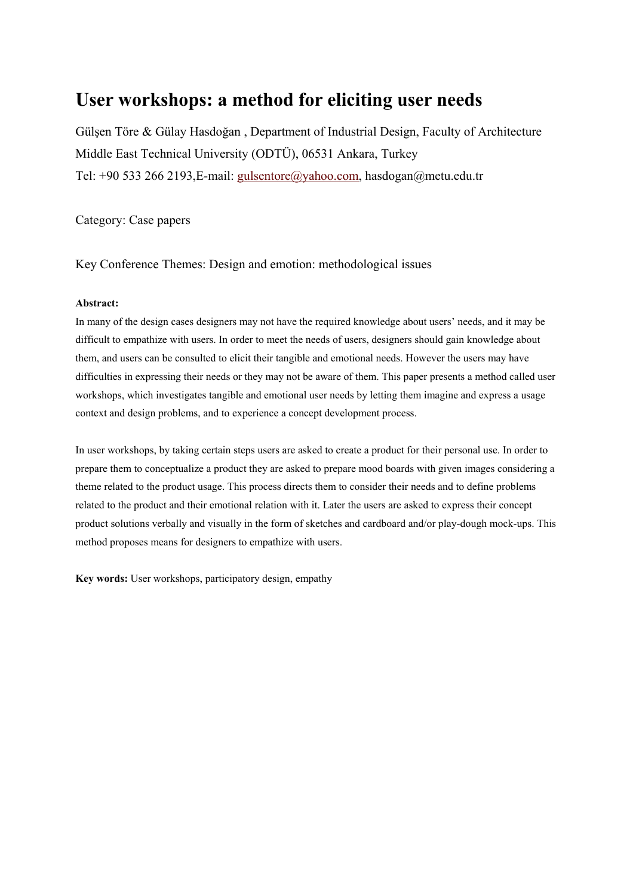# **User workshops: a method for eliciting user needs**

Gülşen Töre & Gülay Hasdoğan , Department of Industrial Design, Faculty of Architecture Middle East Technical University (ODTÜ), 06531 Ankara, Turkey Tel: +90 533 266 2193,E-mail: gulsentore@yahoo.com, hasdogan@metu.edu.tr

Category: Case papers

Key Conference Themes: Design and emotion: methodological issues

#### **Abstract:**

In many of the design cases designers may not have the required knowledge about users' needs, and it may be difficult to empathize with users. In order to meet the needs of users, designers should gain knowledge about them, and users can be consulted to elicit their tangible and emotional needs. However the users may have difficulties in expressing their needs or they may not be aware of them. This paper presents a method called user workshops, which investigates tangible and emotional user needs by letting them imagine and express a usage context and design problems, and to experience a concept development process.

In user workshops, by taking certain steps users are asked to create a product for their personal use. In order to prepare them to conceptualize a product they are asked to prepare mood boards with given images considering a theme related to the product usage. This process directs them to consider their needs and to define problems related to the product and their emotional relation with it. Later the users are asked to express their concept product solutions verbally and visually in the form of sketches and cardboard and/or play-dough mock-ups. This method proposes means for designers to empathize with users.

**Key words:** User workshops, participatory design, empathy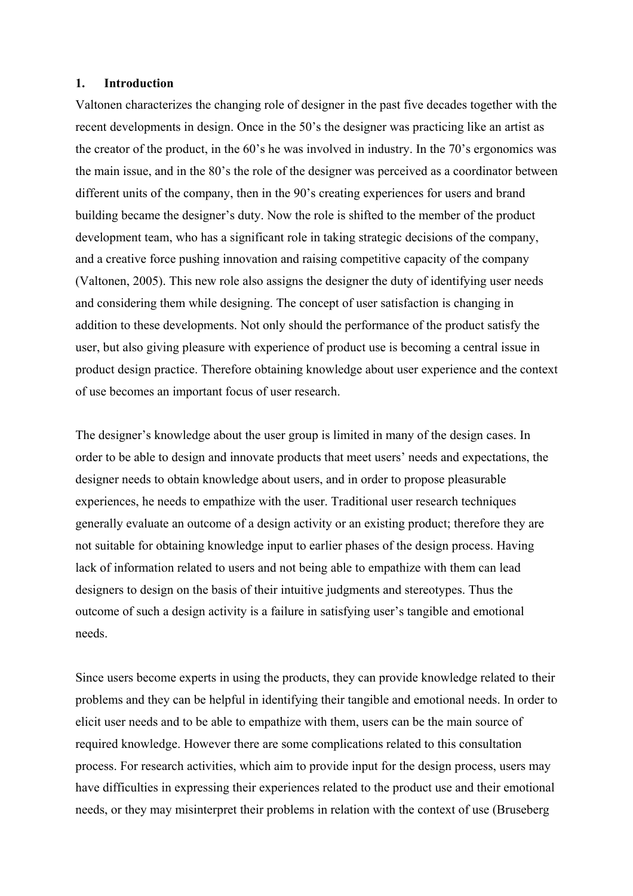#### **1. Introduction**

Valtonen characterizes the changing role of designer in the past five decades together with the recent developments in design. Once in the 50's the designer was practicing like an artist as the creator of the product, in the 60's he was involved in industry. In the 70's ergonomics was the main issue, and in the 80's the role of the designer was perceived as a coordinator between different units of the company, then in the 90's creating experiences for users and brand building became the designer's duty. Now the role is shifted to the member of the product development team, who has a significant role in taking strategic decisions of the company, and a creative force pushing innovation and raising competitive capacity of the company (Valtonen, 2005). This new role also assigns the designer the duty of identifying user needs and considering them while designing. The concept of user satisfaction is changing in addition to these developments. Not only should the performance of the product satisfy the user, but also giving pleasure with experience of product use is becoming a central issue in product design practice. Therefore obtaining knowledge about user experience and the context of use becomes an important focus of user research.

The designer's knowledge about the user group is limited in many of the design cases. In order to be able to design and innovate products that meet users' needs and expectations, the designer needs to obtain knowledge about users, and in order to propose pleasurable experiences, he needs to empathize with the user. Traditional user research techniques generally evaluate an outcome of a design activity or an existing product; therefore they are not suitable for obtaining knowledge input to earlier phases of the design process. Having lack of information related to users and not being able to empathize with them can lead designers to design on the basis of their intuitive judgments and stereotypes. Thus the outcome of such a design activity is a failure in satisfying user's tangible and emotional needs.

Since users become experts in using the products, they can provide knowledge related to their problems and they can be helpful in identifying their tangible and emotional needs. In order to elicit user needs and to be able to empathize with them, users can be the main source of required knowledge. However there are some complications related to this consultation process. For research activities, which aim to provide input for the design process, users may have difficulties in expressing their experiences related to the product use and their emotional needs, or they may misinterpret their problems in relation with the context of use (Bruseberg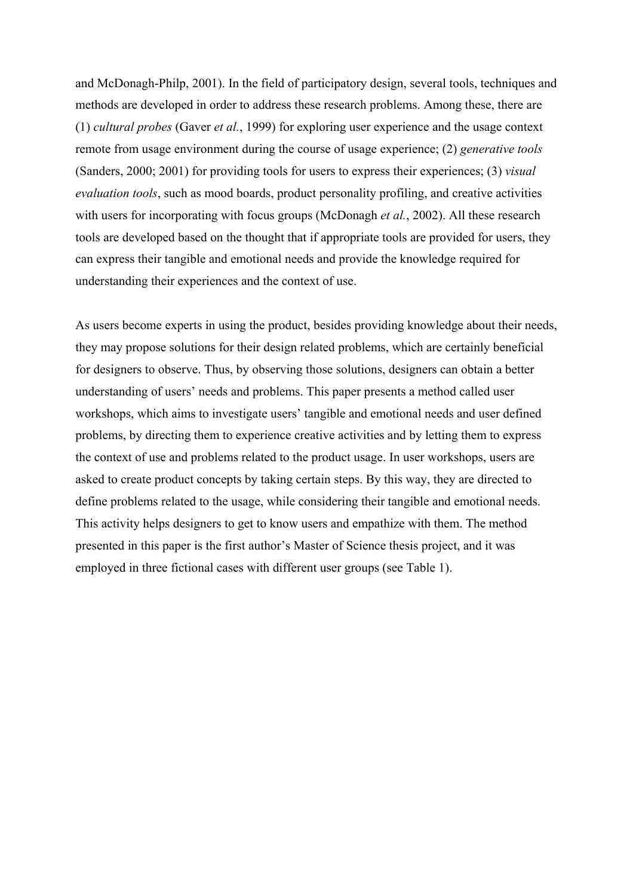and McDonagh-Philp, 2001). In the field of participatory design, several tools, techniques and methods are developed in order to address these research problems. Among these, there are (1) *cultural probes* (Gaver *et al.*, 1999) for exploring user experience and the usage context remote from usage environment during the course of usage experience; (2) *generative tools* (Sanders, 2000; 2001) for providing tools for users to express their experiences; (3) *visual evaluation tools*, such as mood boards, product personality profiling, and creative activities with users for incorporating with focus groups (McDonagh *et al.*, 2002). All these research tools are developed based on the thought that if appropriate tools are provided for users, they can express their tangible and emotional needs and provide the knowledge required for understanding their experiences and the context of use.

As users become experts in using the product, besides providing knowledge about their needs, they may propose solutions for their design related problems, which are certainly beneficial for designers to observe. Thus, by observing those solutions, designers can obtain a better understanding of users' needs and problems. This paper presents a method called user workshops, which aims to investigate users' tangible and emotional needs and user defined problems, by directing them to experience creative activities and by letting them to express the context of use and problems related to the product usage. In user workshops, users are asked to create product concepts by taking certain steps. By this way, they are directed to define problems related to the usage, while considering their tangible and emotional needs. This activity helps designers to get to know users and empathize with them. The method presented in this paper is the first author's Master of Science thesis project, and it was employed in three fictional cases with different user groups (see Table 1).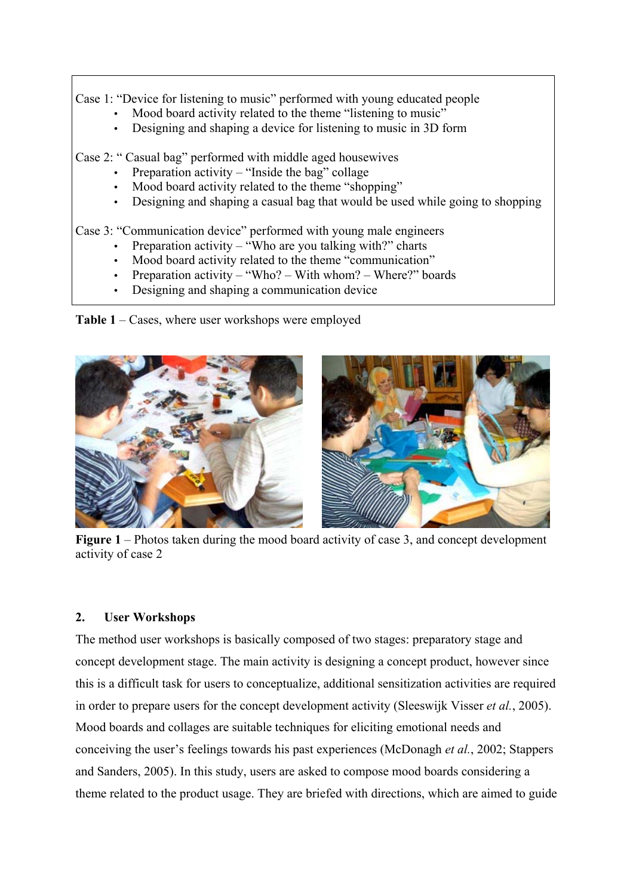Case 1: "Device for listening to music" performed with young educated people

- Mood board activity related to the theme "listening to music"
- Designing and shaping a device for listening to music in 3D form

Case 2: " Casual bag" performed with middle aged housewives

- Preparation activity  $-$  "Inside the bag" collage
- Mood board activity related to the theme "shopping"
- Designing and shaping a casual bag that would be used while going to shopping

Case 3: "Communication device" performed with young male engineers

- Preparation activity "Who are you talking with?" charts
- Mood board activity related to the theme "communication"
- Preparation activity "Who? With whom? Where?" boards
- Designing and shaping a communication device

**Table 1** – Cases, where user workshops were employed



**Figure 1** – Photos taken during the mood board activity of case 3, and concept development activity of case 2

## **2. User Workshops**

The method user workshops is basically composed of two stages: preparatory stage and concept development stage. The main activity is designing a concept product, however since this is a difficult task for users to conceptualize, additional sensitization activities are required in order to prepare users for the concept development activity (Sleeswijk Visser *et al.*, 2005). Mood boards and collages are suitable techniques for eliciting emotional needs and conceiving the user's feelings towards his past experiences (McDonagh *et al.*, 2002; Stappers and Sanders, 2005). In this study, users are asked to compose mood boards considering a theme related to the product usage. They are briefed with directions, which are aimed to guide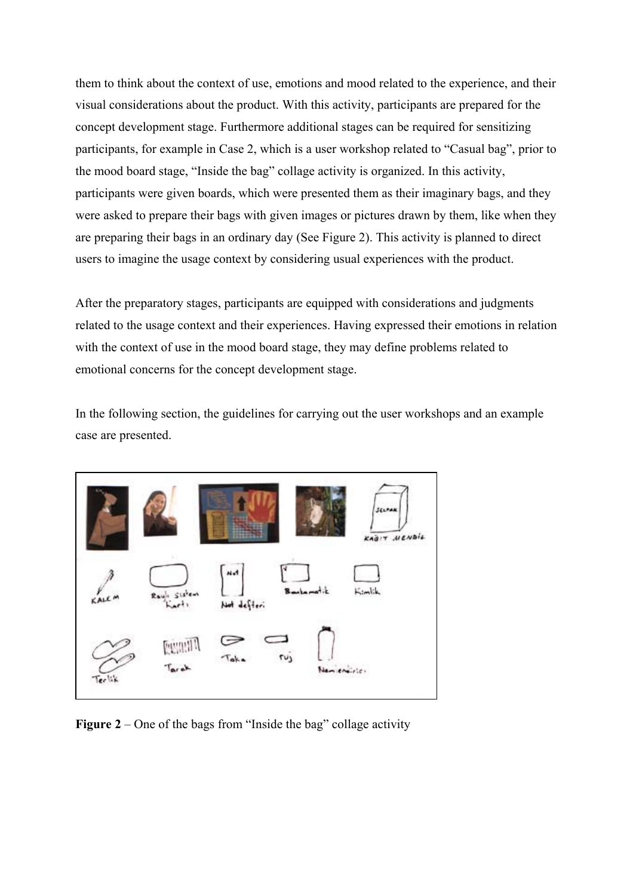them to think about the context of use, emotions and mood related to the experience, and their visual considerations about the product. With this activity, participants are prepared for the concept development stage. Furthermore additional stages can be required for sensitizing participants, for example in Case 2, which is a user workshop related to "Casual bag", prior to the mood board stage, "Inside the bag" collage activity is organized. In this activity, participants were given boards, which were presented them as their imaginary bags, and they were asked to prepare their bags with given images or pictures drawn by them, like when they are preparing their bags in an ordinary day (See Figure 2). This activity is planned to direct users to imagine the usage context by considering usual experiences with the product.

After the preparatory stages, participants are equipped with considerations and judgments related to the usage context and their experiences. Having expressed their emotions in relation with the context of use in the mood board stage, they may define problems related to emotional concerns for the concept development stage.

In the following section, the guidelines for carrying out the user workshops and an example case are presented.



**Figure 2** – One of the bags from "Inside the bag" collage activity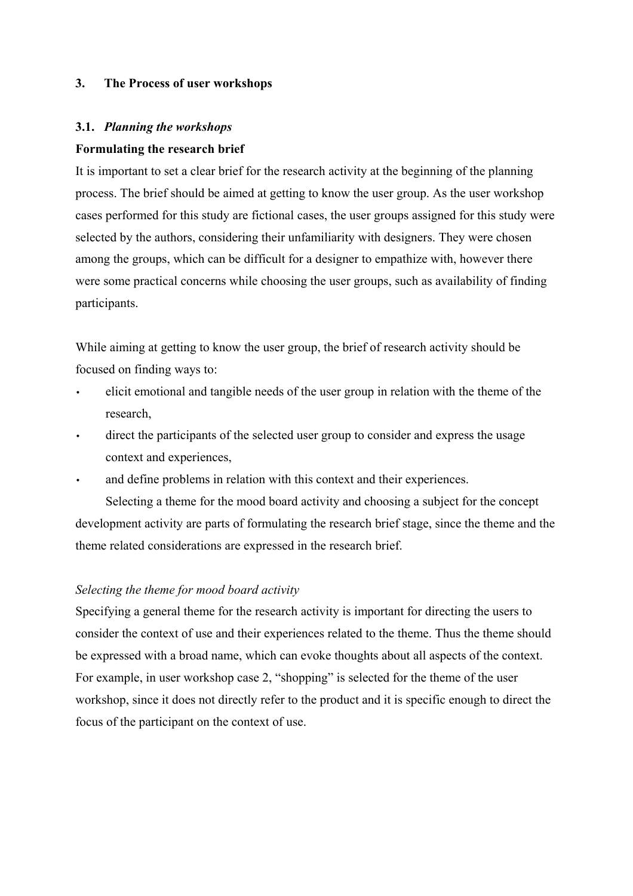## **3. The Process of user workshops**

# **3.1.** *Planning the workshops*

## **Formulating the research brief**

It is important to set a clear brief for the research activity at the beginning of the planning process. The brief should be aimed at getting to know the user group. As the user workshop cases performed for this study are fictional cases, the user groups assigned for this study were selected by the authors, considering their unfamiliarity with designers. They were chosen among the groups, which can be difficult for a designer to empathize with, however there were some practical concerns while choosing the user groups, such as availability of finding participants.

While aiming at getting to know the user group, the brief of research activity should be focused on finding ways to:

- elicit emotional and tangible needs of the user group in relation with the theme of the research,
- direct the participants of the selected user group to consider and express the usage context and experiences,
- and define problems in relation with this context and their experiences.

Selecting a theme for the mood board activity and choosing a subject for the concept development activity are parts of formulating the research brief stage, since the theme and the theme related considerations are expressed in the research brief.

## *Selecting the theme for mood board activity*

Specifying a general theme for the research activity is important for directing the users to consider the context of use and their experiences related to the theme. Thus the theme should be expressed with a broad name, which can evoke thoughts about all aspects of the context. For example, in user workshop case 2, "shopping" is selected for the theme of the user workshop, since it does not directly refer to the product and it is specific enough to direct the focus of the participant on the context of use.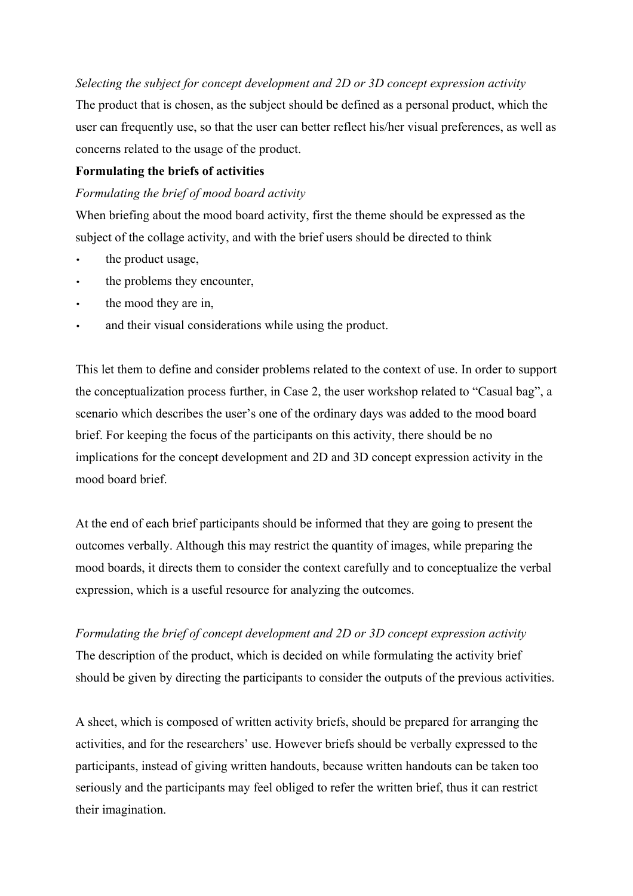## *Selecting the subject for concept development and 2D or 3D concept expression activity*

The product that is chosen, as the subject should be defined as a personal product, which the user can frequently use, so that the user can better reflect his/her visual preferences, as well as concerns related to the usage of the product.

## **Formulating the briefs of activities**

## *Formulating the brief of mood board activity*

When briefing about the mood board activity, first the theme should be expressed as the subject of the collage activity, and with the brief users should be directed to think

- the product usage,
- the problems they encounter,
- the mood they are in,
- and their visual considerations while using the product.

This let them to define and consider problems related to the context of use. In order to support the conceptualization process further, in Case 2, the user workshop related to "Casual bag", a scenario which describes the user's one of the ordinary days was added to the mood board brief. For keeping the focus of the participants on this activity, there should be no implications for the concept development and 2D and 3D concept expression activity in the mood board brief.

At the end of each brief participants should be informed that they are going to present the outcomes verbally. Although this may restrict the quantity of images, while preparing the mood boards, it directs them to consider the context carefully and to conceptualize the verbal expression, which is a useful resource for analyzing the outcomes.

*Formulating the brief of concept development and 2D or 3D concept expression activity*  The description of the product, which is decided on while formulating the activity brief should be given by directing the participants to consider the outputs of the previous activities.

A sheet, which is composed of written activity briefs, should be prepared for arranging the activities, and for the researchers' use. However briefs should be verbally expressed to the participants, instead of giving written handouts, because written handouts can be taken too seriously and the participants may feel obliged to refer the written brief, thus it can restrict their imagination.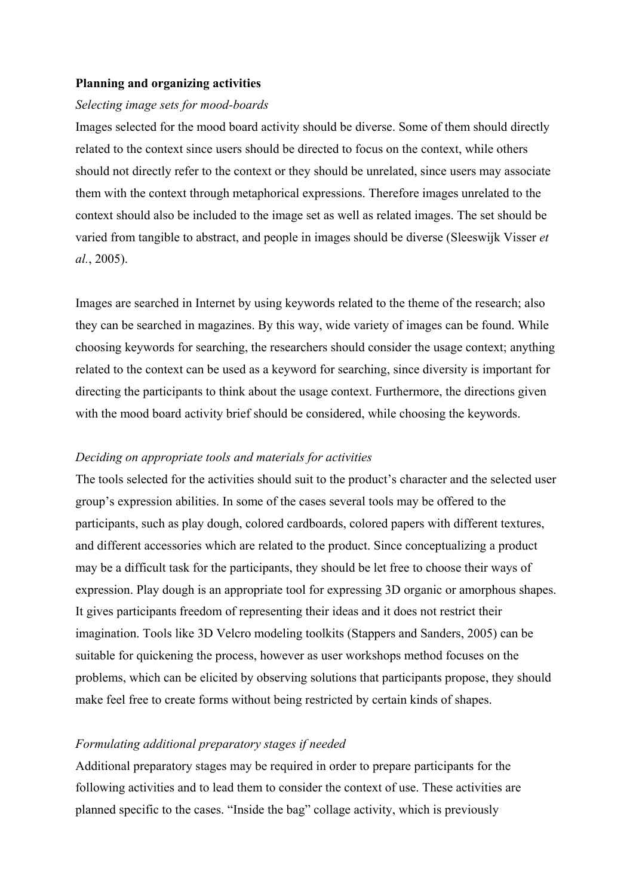#### **Planning and organizing activities**

#### *Selecting image sets for mood-boards*

Images selected for the mood board activity should be diverse. Some of them should directly related to the context since users should be directed to focus on the context, while others should not directly refer to the context or they should be unrelated, since users may associate them with the context through metaphorical expressions. Therefore images unrelated to the context should also be included to the image set as well as related images. The set should be varied from tangible to abstract, and people in images should be diverse (Sleeswijk Visser *et al.*, 2005).

Images are searched in Internet by using keywords related to the theme of the research; also they can be searched in magazines. By this way, wide variety of images can be found. While choosing keywords for searching, the researchers should consider the usage context; anything related to the context can be used as a keyword for searching, since diversity is important for directing the participants to think about the usage context. Furthermore, the directions given with the mood board activity brief should be considered, while choosing the keywords.

#### *Deciding on appropriate tools and materials for activities*

The tools selected for the activities should suit to the product's character and the selected user group's expression abilities. In some of the cases several tools may be offered to the participants, such as play dough, colored cardboards, colored papers with different textures, and different accessories which are related to the product. Since conceptualizing a product may be a difficult task for the participants, they should be let free to choose their ways of expression. Play dough is an appropriate tool for expressing 3D organic or amorphous shapes. It gives participants freedom of representing their ideas and it does not restrict their imagination. Tools like 3D Velcro modeling toolkits (Stappers and Sanders, 2005) can be suitable for quickening the process, however as user workshops method focuses on the problems, which can be elicited by observing solutions that participants propose, they should make feel free to create forms without being restricted by certain kinds of shapes.

#### *Formulating additional preparatory stages if needed*

Additional preparatory stages may be required in order to prepare participants for the following activities and to lead them to consider the context of use. These activities are planned specific to the cases. "Inside the bag" collage activity, which is previously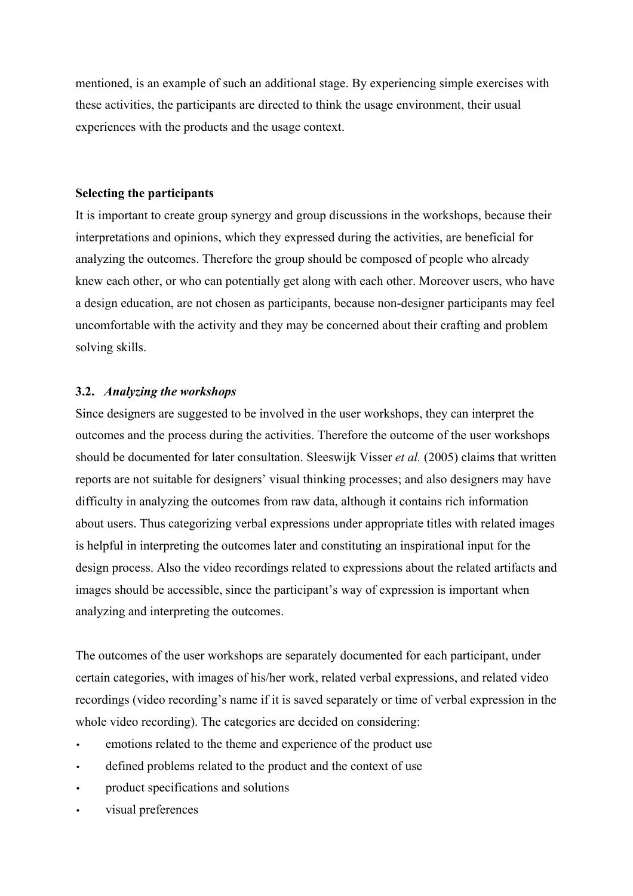mentioned, is an example of such an additional stage. By experiencing simple exercises with these activities, the participants are directed to think the usage environment, their usual experiences with the products and the usage context.

#### **Selecting the participants**

It is important to create group synergy and group discussions in the workshops, because their interpretations and opinions, which they expressed during the activities, are beneficial for analyzing the outcomes. Therefore the group should be composed of people who already knew each other, or who can potentially get along with each other. Moreover users, who have a design education, are not chosen as participants, because non-designer participants may feel uncomfortable with the activity and they may be concerned about their crafting and problem solving skills.

## **3.2.** *Analyzing the workshops*

Since designers are suggested to be involved in the user workshops, they can interpret the outcomes and the process during the activities. Therefore the outcome of the user workshops should be documented for later consultation. Sleeswijk Visser *et al.* (2005) claims that written reports are not suitable for designers' visual thinking processes; and also designers may have difficulty in analyzing the outcomes from raw data, although it contains rich information about users. Thus categorizing verbal expressions under appropriate titles with related images is helpful in interpreting the outcomes later and constituting an inspirational input for the design process. Also the video recordings related to expressions about the related artifacts and images should be accessible, since the participant's way of expression is important when analyzing and interpreting the outcomes.

The outcomes of the user workshops are separately documented for each participant, under certain categories, with images of his/her work, related verbal expressions, and related video recordings (video recording's name if it is saved separately or time of verbal expression in the whole video recording). The categories are decided on considering:

- emotions related to the theme and experience of the product use
- defined problems related to the product and the context of use
- product specifications and solutions
- visual preferences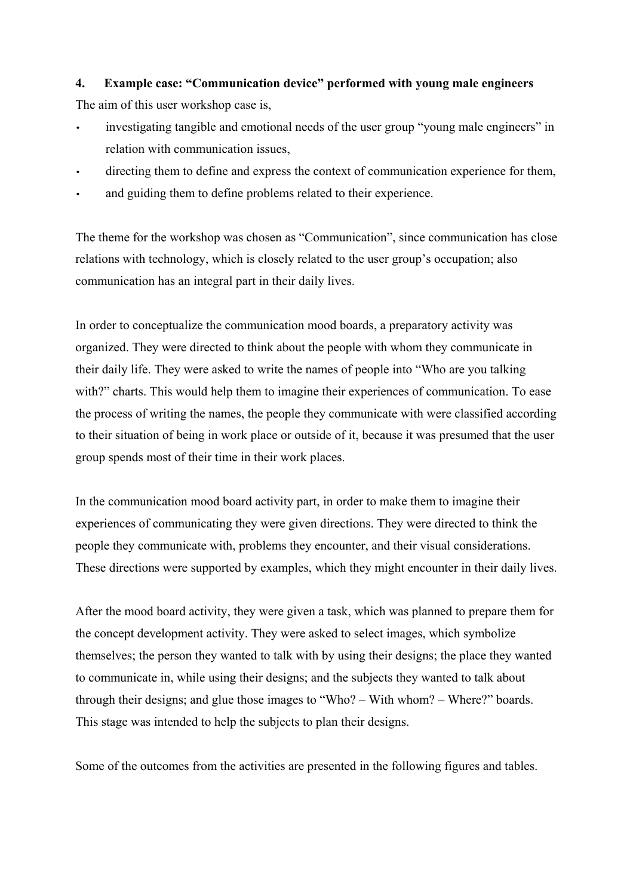# **4. Example case: "Communication device" performed with young male engineers**

The aim of this user workshop case is,

- investigating tangible and emotional needs of the user group "young male engineers" in relation with communication issues,
- directing them to define and express the context of communication experience for them,
- and guiding them to define problems related to their experience.

The theme for the workshop was chosen as "Communication", since communication has close relations with technology, which is closely related to the user group's occupation; also communication has an integral part in their daily lives.

In order to conceptualize the communication mood boards, a preparatory activity was organized. They were directed to think about the people with whom they communicate in their daily life. They were asked to write the names of people into "Who are you talking with?" charts. This would help them to imagine their experiences of communication. To ease the process of writing the names, the people they communicate with were classified according to their situation of being in work place or outside of it, because it was presumed that the user group spends most of their time in their work places.

In the communication mood board activity part, in order to make them to imagine their experiences of communicating they were given directions. They were directed to think the people they communicate with, problems they encounter, and their visual considerations. These directions were supported by examples, which they might encounter in their daily lives.

After the mood board activity, they were given a task, which was planned to prepare them for the concept development activity. They were asked to select images, which symbolize themselves; the person they wanted to talk with by using their designs; the place they wanted to communicate in, while using their designs; and the subjects they wanted to talk about through their designs; and glue those images to "Who? – With whom? – Where?" boards. This stage was intended to help the subjects to plan their designs.

Some of the outcomes from the activities are presented in the following figures and tables.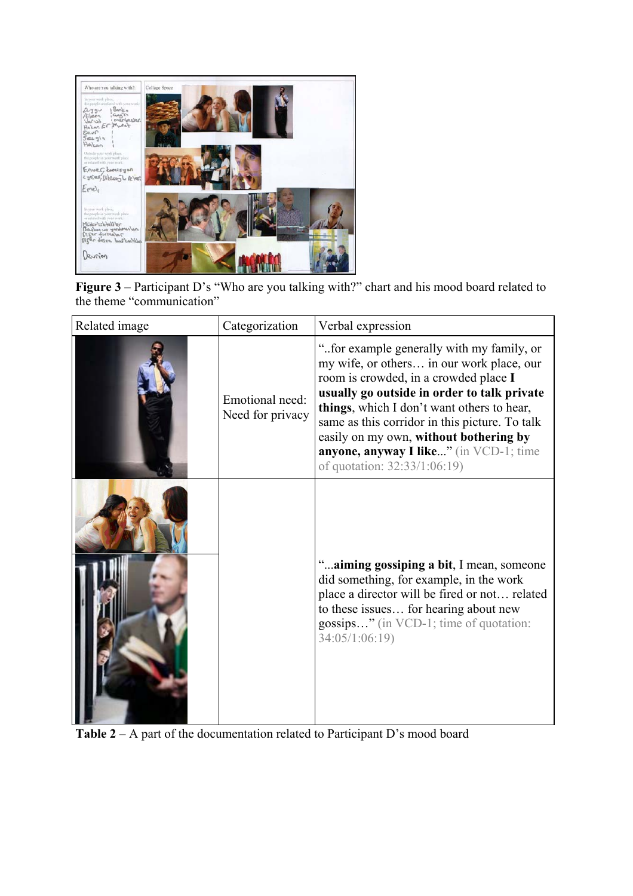

**Figure 3** – Participant D's "Who are you talking with?" chart and his mood board related to the theme "communication"

| Related image | Categorization                      | Verbal expression                                                                                                                                                                                                                                                                                                                                                                                  |
|---------------|-------------------------------------|----------------------------------------------------------------------------------------------------------------------------------------------------------------------------------------------------------------------------------------------------------------------------------------------------------------------------------------------------------------------------------------------------|
|               | Emotional need:<br>Need for privacy | "for example generally with my family, or<br>my wife, or others in our work place, our<br>room is crowded, in a crowded place I<br>usually go outside in order to talk private<br>things, which I don't want others to hear,<br>same as this corridor in this picture. To talk<br>easily on my own, without bothering by<br>anyone, anyway I like" (in VCD-1; time<br>of quotation: 32:33/1:06:19) |
|               |                                     | " aiming gossiping a bit, I mean, someone<br>did something, for example, in the work<br>place a director will be fired or not related<br>to these issues for hearing about new<br>gossips" (in VCD-1; time of quotation:<br>34:05/1:06:19)                                                                                                                                                         |

**Table 2** – A part of the documentation related to Participant D's mood board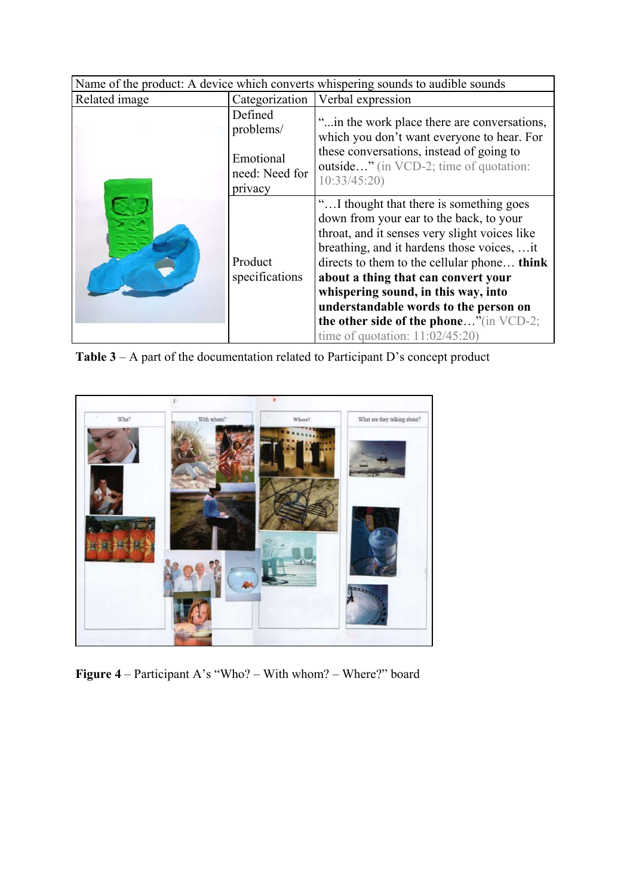| Name of the product: A device which converts whispering sounds to audible sounds |                                        |                                                                                                                                                                                                                                                                                                                                                                                                                                          |  |
|----------------------------------------------------------------------------------|----------------------------------------|------------------------------------------------------------------------------------------------------------------------------------------------------------------------------------------------------------------------------------------------------------------------------------------------------------------------------------------------------------------------------------------------------------------------------------------|--|
| Related image                                                                    | Categorization                         | Verbal expression                                                                                                                                                                                                                                                                                                                                                                                                                        |  |
|                                                                                  | Defined<br>problems/                   | " in the work place there are conversations,<br>which you don't want everyone to hear. For                                                                                                                                                                                                                                                                                                                                               |  |
|                                                                                  | Emotional<br>need: Need for<br>privacy | these conversations, instead of going to<br>outside" (in VCD-2; time of quotation:<br>10:33/45:20                                                                                                                                                                                                                                                                                                                                        |  |
|                                                                                  | Product<br>specifications              | "I thought that there is something goes<br>down from your ear to the back, to your<br>throat, and it senses very slight voices like<br>breathing, and it hardens those voices,  it<br>directs to them to the cellular phone think<br>about a thing that can convert your<br>whispering sound, in this way, into<br>understandable words to the person on<br>the other side of the phone"(in VCD-2;<br>time of quotation: $11:02/45:20$ ) |  |

**Table 3** – A part of the documentation related to Participant D's concept product



**Figure 4** – Participant A's "Who? – With whom? – Where?" board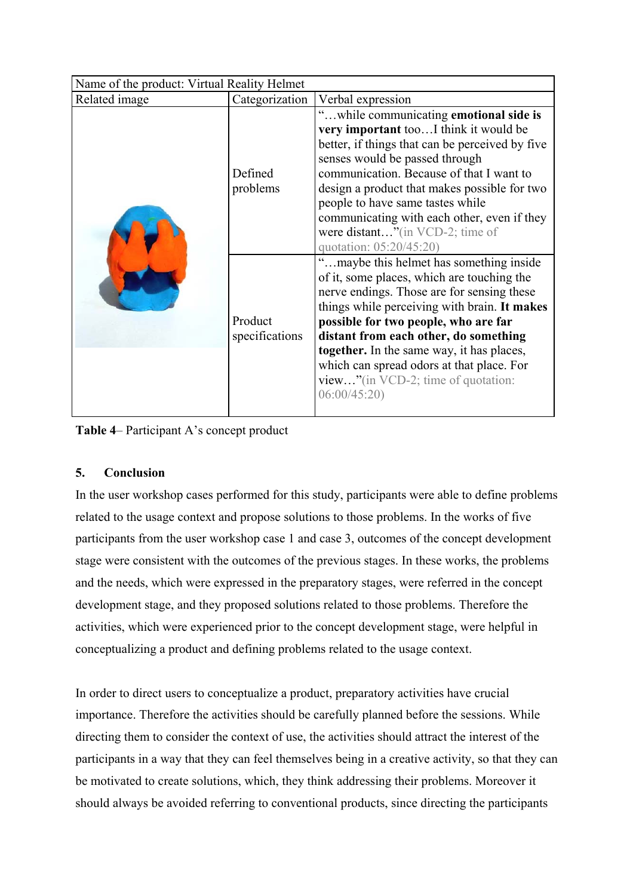| Name of the product: Virtual Reality Helmet |                           |                                                                                                                                                                                                                                                                                                                                                                                                                           |  |
|---------------------------------------------|---------------------------|---------------------------------------------------------------------------------------------------------------------------------------------------------------------------------------------------------------------------------------------------------------------------------------------------------------------------------------------------------------------------------------------------------------------------|--|
| Related image                               | Categorization            | Verbal expression                                                                                                                                                                                                                                                                                                                                                                                                         |  |
|                                             | Defined<br>problems       | "while communicating emotional side is<br>very important tooI think it would be<br>better, if things that can be perceived by five<br>senses would be passed through<br>communication. Because of that I want to<br>design a product that makes possible for two<br>people to have same tastes while<br>communicating with each other, even if they<br>were distant"(in VCD-2; time of<br>quotation: 05:20/45:20)         |  |
|                                             | Product<br>specifications | maybe this helmet has something inside<br>of it, some places, which are touching the<br>nerve endings. Those are for sensing these<br>things while perceiving with brain. It makes<br>possible for two people, who are far<br>distant from each other, do something<br><b>together.</b> In the same way, it has places,<br>which can spread odors at that place. For<br>view"(in VCD-2; time of quotation:<br>06:00/45:20 |  |

**Table 4**– Participant A's concept product

# **5. Conclusion**

In the user workshop cases performed for this study, participants were able to define problems related to the usage context and propose solutions to those problems. In the works of five participants from the user workshop case 1 and case 3, outcomes of the concept development stage were consistent with the outcomes of the previous stages. In these works, the problems and the needs, which were expressed in the preparatory stages, were referred in the concept development stage, and they proposed solutions related to those problems. Therefore the activities, which were experienced prior to the concept development stage, were helpful in conceptualizing a product and defining problems related to the usage context.

In order to direct users to conceptualize a product, preparatory activities have crucial importance. Therefore the activities should be carefully planned before the sessions. While directing them to consider the context of use, the activities should attract the interest of the participants in a way that they can feel themselves being in a creative activity, so that they can be motivated to create solutions, which, they think addressing their problems. Moreover it should always be avoided referring to conventional products, since directing the participants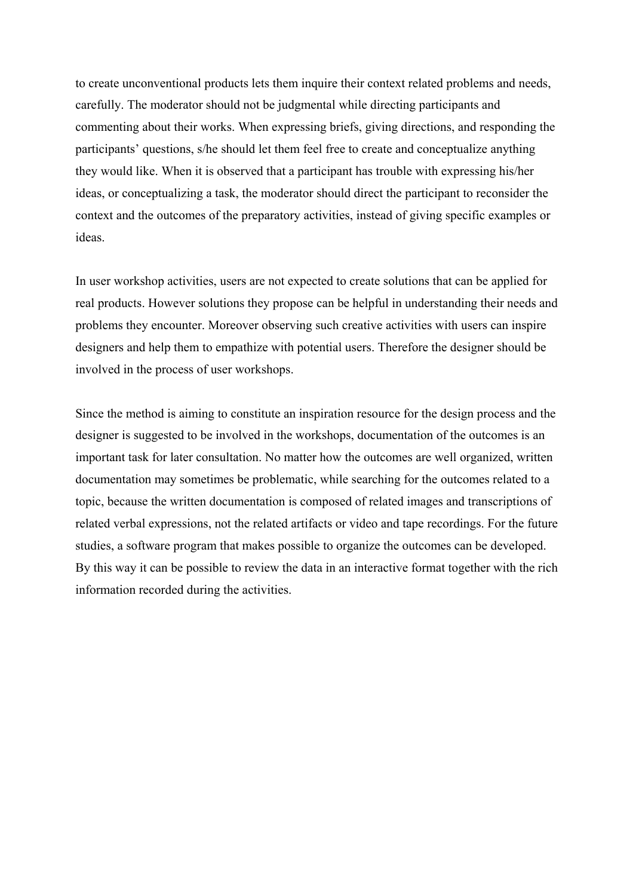to create unconventional products lets them inquire their context related problems and needs, carefully. The moderator should not be judgmental while directing participants and commenting about their works. When expressing briefs, giving directions, and responding the participants' questions, s/he should let them feel free to create and conceptualize anything they would like. When it is observed that a participant has trouble with expressing his/her ideas, or conceptualizing a task, the moderator should direct the participant to reconsider the context and the outcomes of the preparatory activities, instead of giving specific examples or ideas.

In user workshop activities, users are not expected to create solutions that can be applied for real products. However solutions they propose can be helpful in understanding their needs and problems they encounter. Moreover observing such creative activities with users can inspire designers and help them to empathize with potential users. Therefore the designer should be involved in the process of user workshops.

Since the method is aiming to constitute an inspiration resource for the design process and the designer is suggested to be involved in the workshops, documentation of the outcomes is an important task for later consultation. No matter how the outcomes are well organized, written documentation may sometimes be problematic, while searching for the outcomes related to a topic, because the written documentation is composed of related images and transcriptions of related verbal expressions, not the related artifacts or video and tape recordings. For the future studies, a software program that makes possible to organize the outcomes can be developed. By this way it can be possible to review the data in an interactive format together with the rich information recorded during the activities.